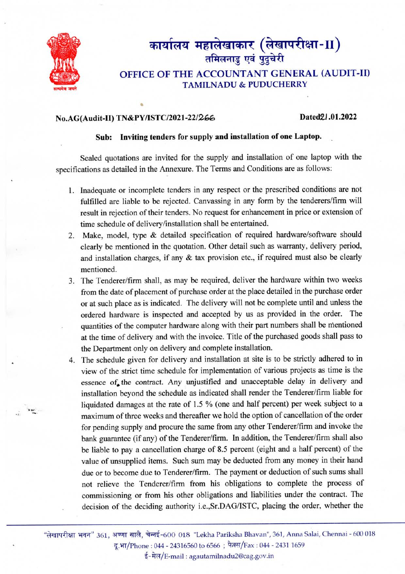

# कार्यालय महालेखाकार (लेखापरीक्षा-II)<br>तमिलनाडु एवं पुदुचेरी OFFICE 0F THE ACCOUNTANT GENERAL (AUDIT-II)

### TAMILNADU & PUDUCHERRY

#### No.AG(Audit-II) TN&PY/ISTC/2021-22/266 Dated2l.01.2022

#### Sub: Inviting tenders for supply and installation of one Laptop.

Sealed quotations are invited for the supply and installation of one laptop with the specifications as detailed in the Armexure. The Terms and Conditions are as follows:

- 1. Inadequate or incomplete tenders in any respect or the prescribed conditions are not fulfilled are liable to be rejected. Canvassing in any form by the tenderers/fim will result in rejection of their tenders. No request for enhancement in price or extension of time schedule of delivery/installation shall be entertained.
- 2. Make, model, type & detailed specification of required hardware/software should clearly be mentioned in the quotation. Other detail such as warranty, delivery period, and installation charges, if any & tax provision etc., if required must also be clearly mentioned.
- 3. The Tenderer/firm shall, as may be required, deliver the hardware within two weeks from the date of placement of purchase order at the place detailed in the purchase order or at such place as is indicated. The delivery will not be complete until and unless the ordered hardware is inspected and accepted by us as provided in the order. The quantities of the computer hardware along with their part numbers shall be mentioned at the time of delivery and with the invoice. Title of the purchased goods shall pass to the Department only on delivery and complete installation.
- 4. The schedule given for delivery and installation at site is to be strictly adhered to in view of the strict time schedule for implementation of various projects as time is the essence of the contract. Any unjustified and unacceptable delay in delivery and installation beyond the schedule as indicated shall render the Tenderer/firm liable for liquidated damages at the rate of 1.5 % (one and half percent) per week subject to a maximum of three weeks and thereafter we hold the option of cancellation of the order for pending supply and procure the sane from any other Tenderer/firm and invoke the bank guarantee (if any) of the Tenderer/firm. In addition, the Tenderer/firm shall also be liable to pay a cancellation charge of 8.5 percent (eight and a half percent) of the value of unsupplied items. Such sum may be deducted from any money in their hand due or to become due to Tenderer/firm. The payment or deduction of such sums shall not relieve the Tenderer/firm from his obligations to complete the process of commissioning or from his other obligations and liabilities under the contract. The decision of the deciding authority i.e.,Sr.DAG/ISTC, placing the order, whether the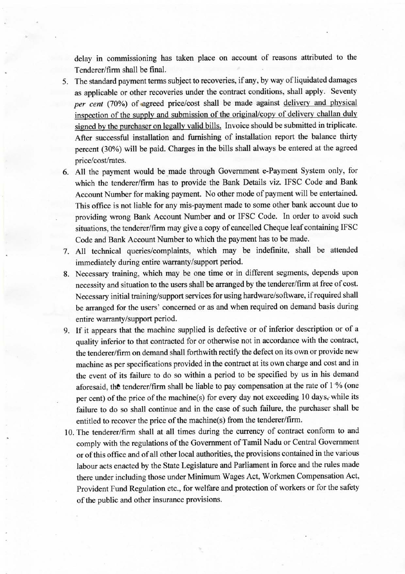delay in commissioning has taken place on account of reasons attributed to the Tenderer/firm shall be final.

- 5. The standard payment terms subject to recoveries, if any, by way of liquidated damages as applicable or other recoveries under the contract conditions, shall apply. Seventy per cent (70%) of agreed price/cost shall be made against delivery and physical inspection of the supply and submission of the original/copy of delivery challan duly signed by the purchaser on legally valid bills. Invoice should be submitted in triplicate. After successful installation and furnishing of installation report the balance thirty percent (30%) will be paid. Charges in the bills shall always be entered at the agreed price/cost/rates.
- 6. All the payment would be made through Government e-Payment System only, for which the tenderer/firm has to provide the Bank Details viz. IFSC Code and Bank Account Number for making payment. No other mode of payment will be entertained. This office is not liable for any mis-payment made to some other bank account due to providing wrong Bank Account Number and or IFSC Code. In order to avoid such situations, the tenderer/firm may give a copy of cancelled Cheque leaf containing IFSC Code and Bank Account Number to which the payment has to be made.
- 7. All technical queries/complaints, which may be indefinite, shall be attended immediately during entire warranty/support period.
- 8. Necessary training, which may be one time or in different segments, depends upon necessity and situation to the users shall be arranged by the tenderer/firm at free of cost. Necessary initial training/support services for using hardware/software, if required shall be aranged for the users' concerned or as and when required on demand basis during entire warranty/support period.
- 9. If it appears that the machine supplied is defective or of inferior description or of a quality inferior to that contracted for or otherwise not in accordance with the contract, the tenderer/firm on demand shall forthwith rectify the defect on its own or provide new machine as per specifications provided in the contract at its own charge and cost and in the event of its failure to do so within a period to be specified by us in his demand aforesaid, the tenderer/firm shall be liable to pay compensation at the rate of 1 % (one per cent) of the price of the machine(s) for every day not exceeding 10 days, while its failure to do so shall continue and in the case of such failure, the purchaser shall be entitled to recover the price of the machine(s) from the tenderer/firm.
- 10. The tenderer/firm shall at all times during the curency of contract conform to and comply with the regulations of the Government of Tamil Nadu or Central Government or of this office and of all other local authorities, the provisions contained in the various labour acts enacted by the State Legislature and Parliament in force and the mles made there under including those under Minimum Wages Act, Workmen Compensation Act, Provident Fund Regulation etc., for welfare and protection of workers or for the safety of the public and other insurance provisions.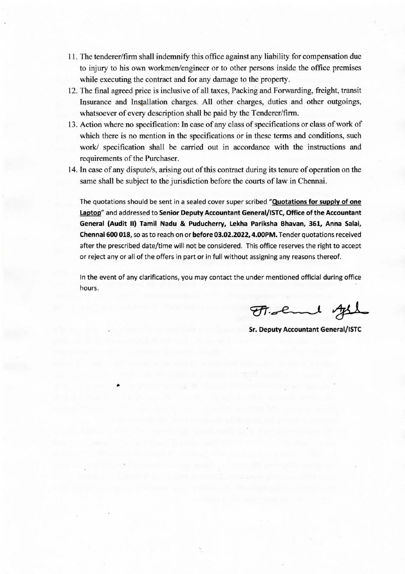- 11. The tenderer/firm shall indemnify this office against any liability for compensation due to injury to his own workmen/engineer or to other persons inside the office premises while executing the contract and for any damage to the property.
- 12. The final agreed price is inclusive of all taxes, Packing and Forwarding, freight, transit Insurance and Installation charges. All other charges, duties and other outgoings, whatsoever of every description shall be paid by the Tenderer/firm.
- 13. Action where no specification: In case of any class of specifications or class of work of which there is no mention in the specifications or in these terms and conditions, such work/ specification shall be carried out in accordance with the instructions and requirements of the Purchaser.
- 14. In case of any dispute/s, arising out of this contract during its tenure of operation on the same shall be subject to the jurisdiction before the courts of law in Chennai.

The quotations should be sent in a sealed cover super scribed "Quotations for supply of one Laptop" and addressed to Senior Deputy Accountant General/ISTC, Office of the Accountant General (Audit 11) Tamil Nadu & Puducherry, Lekha Pariksha Bhavan, 361, Anna Salai, Chennai 600 018, so as to reach on or before 03.02.2022, 4.00PM. Tender quotations received after the prescribed date/time will not be considered. This office reserves the right to accept or reject any or all of the offers in part or in full without assigning any reasons thereof.

In the event of any clarifications, you may contact the under mentioned official during office hours.

Fr. chand of

• Sr. Deputy Accountant General/ISTC